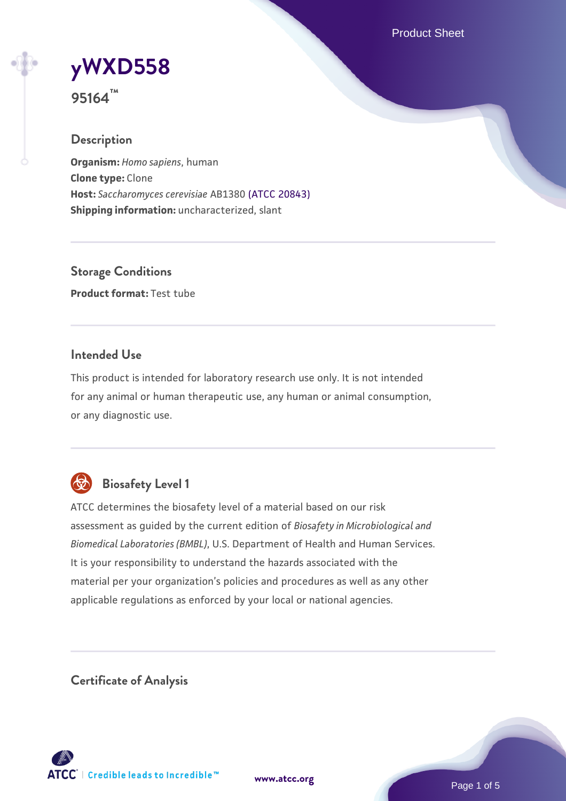Product Sheet

# **[yWXD558](https://www.atcc.org/products/95164)**

**95164™**

#### **Description**

**Organism:** *Homo sapiens*, human **Clone type:** Clone **Host:** *Saccharomyces cerevisiae* AB1380 [\(ATCC 20843\)](https://www.atcc.org/products/20843) **Shipping information:** uncharacterized, slant

**Storage Conditions Product format:** Test tube

#### **Intended Use**

This product is intended for laboratory research use only. It is not intended for any animal or human therapeutic use, any human or animal consumption, or any diagnostic use.



### **Biosafety Level 1**

ATCC determines the biosafety level of a material based on our risk assessment as guided by the current edition of *Biosafety in Microbiological and Biomedical Laboratories (BMBL)*, U.S. Department of Health and Human Services. It is your responsibility to understand the hazards associated with the material per your organization's policies and procedures as well as any other applicable regulations as enforced by your local or national agencies.

**Certificate of Analysis**

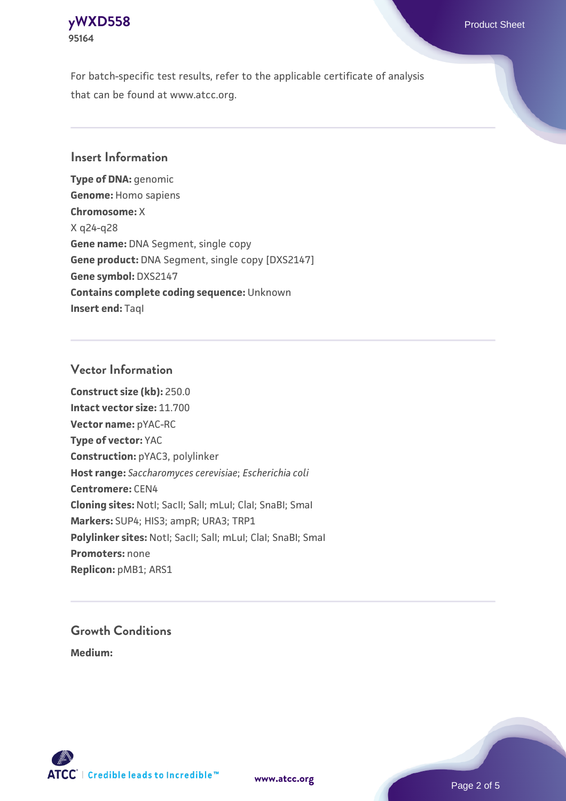

For batch-specific test results, refer to the applicable certificate of analysis that can be found at www.atcc.org.

#### **Insert Information**

**Type of DNA:** genomic **Genome:** Homo sapiens **Chromosome:** X X q24-q28 **Gene name:** DNA Segment, single copy **Gene product:** DNA Segment, single copy [DXS2147] **Gene symbol:** DXS2147 **Contains complete coding sequence:** Unknown **Insert end: Tagl** 

#### **Vector Information**

**Construct size (kb):** 250.0 **Intact vector size:** 11.700 **Vector name:** pYAC-RC **Type of vector:** YAC **Construction:** pYAC3, polylinker **Host range:** *Saccharomyces cerevisiae*; *Escherichia coli* **Centromere:** CEN4 **Cloning sites:** NotI; SacII; SalI; mLuI; ClaI; SnaBI; SmaI **Markers:** SUP4; HIS3; ampR; URA3; TRP1 Polylinker sites: Notl; SacII; SalI; mLuI; ClaI; SnaBI; SmaI **Promoters:** none **Replicon:** pMB1; ARS1

## **Growth Conditions**

**Medium:** 



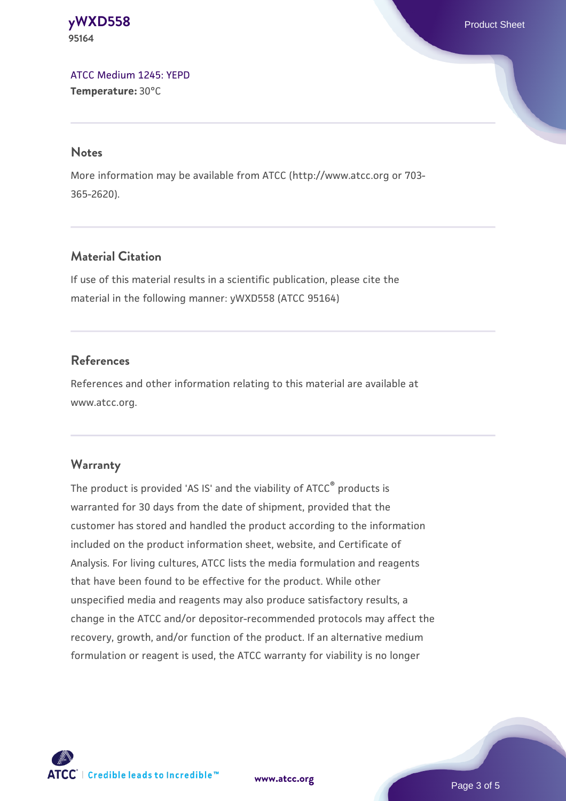**[yWXD558](https://www.atcc.org/products/95164)** Product Sheet **95164**

[ATCC Medium 1245: YEPD](https://www.atcc.org/-/media/product-assets/documents/microbial-media-formulations/1/2/4/5/atcc-medium-1245.pdf?rev=705ca55d1b6f490a808a965d5c072196) **Temperature:** 30°C

#### **Notes**

More information may be available from ATCC (http://www.atcc.org or 703- 365-2620).

#### **Material Citation**

If use of this material results in a scientific publication, please cite the material in the following manner: yWXD558 (ATCC 95164)

#### **References**

References and other information relating to this material are available at www.atcc.org.

#### **Warranty**

The product is provided 'AS IS' and the viability of ATCC® products is warranted for 30 days from the date of shipment, provided that the customer has stored and handled the product according to the information included on the product information sheet, website, and Certificate of Analysis. For living cultures, ATCC lists the media formulation and reagents that have been found to be effective for the product. While other unspecified media and reagents may also produce satisfactory results, a change in the ATCC and/or depositor-recommended protocols may affect the recovery, growth, and/or function of the product. If an alternative medium formulation or reagent is used, the ATCC warranty for viability is no longer



**[www.atcc.org](http://www.atcc.org)**

Page 3 of 5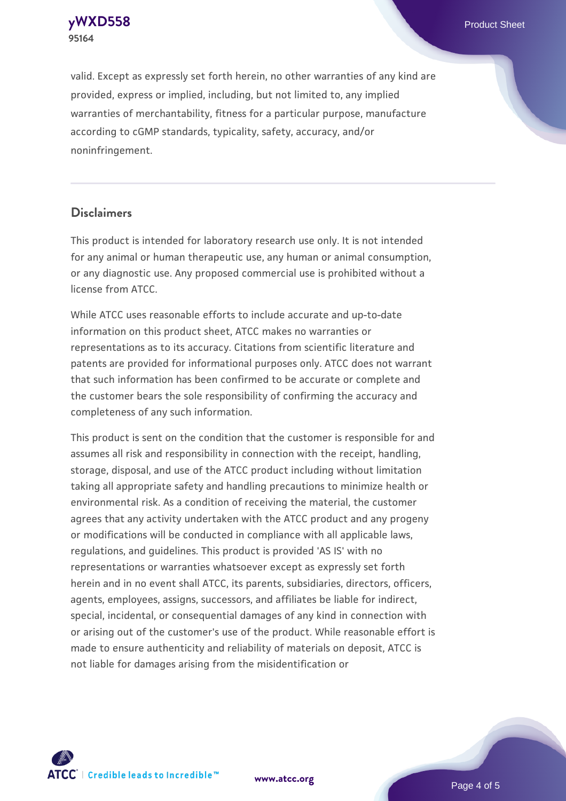**[yWXD558](https://www.atcc.org/products/95164)** Product Sheet **95164**

valid. Except as expressly set forth herein, no other warranties of any kind are provided, express or implied, including, but not limited to, any implied warranties of merchantability, fitness for a particular purpose, manufacture according to cGMP standards, typicality, safety, accuracy, and/or noninfringement.

#### **Disclaimers**

This product is intended for laboratory research use only. It is not intended for any animal or human therapeutic use, any human or animal consumption, or any diagnostic use. Any proposed commercial use is prohibited without a license from ATCC.

While ATCC uses reasonable efforts to include accurate and up-to-date information on this product sheet, ATCC makes no warranties or representations as to its accuracy. Citations from scientific literature and patents are provided for informational purposes only. ATCC does not warrant that such information has been confirmed to be accurate or complete and the customer bears the sole responsibility of confirming the accuracy and completeness of any such information.

This product is sent on the condition that the customer is responsible for and assumes all risk and responsibility in connection with the receipt, handling, storage, disposal, and use of the ATCC product including without limitation taking all appropriate safety and handling precautions to minimize health or environmental risk. As a condition of receiving the material, the customer agrees that any activity undertaken with the ATCC product and any progeny or modifications will be conducted in compliance with all applicable laws, regulations, and guidelines. This product is provided 'AS IS' with no representations or warranties whatsoever except as expressly set forth herein and in no event shall ATCC, its parents, subsidiaries, directors, officers, agents, employees, assigns, successors, and affiliates be liable for indirect, special, incidental, or consequential damages of any kind in connection with or arising out of the customer's use of the product. While reasonable effort is made to ensure authenticity and reliability of materials on deposit, ATCC is not liable for damages arising from the misidentification or



**[www.atcc.org](http://www.atcc.org)**

Page 4 of 5